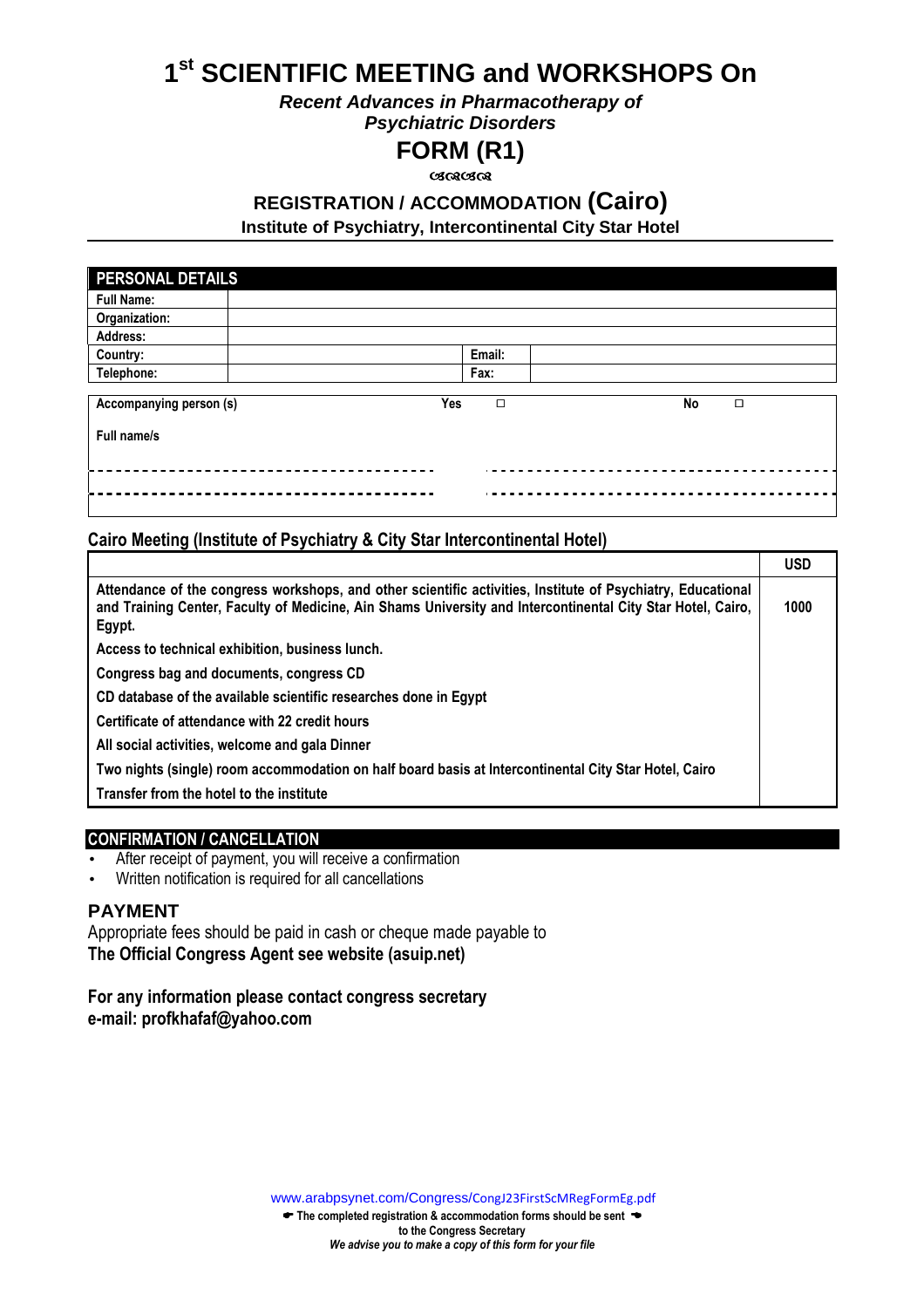# **1 st SCIENTIFIC MEETING and WORKSHOPS On**

**Recent Advances in Pharmacotherapy of** 

**Psychiatric Disorders** 

# **FORM (R1)**

<u>ശരശേ</u>ശ

# **REGISTRATION / ACCOMMODATION (Cairo)**

**Institute of Psychiatry, Intercontinental City Star Hotel**

| PERSONAL DETAILS        |     |        |    |        |
|-------------------------|-----|--------|----|--------|
| <b>Full Name:</b>       |     |        |    |        |
| Organization:           |     |        |    |        |
| Address:                |     |        |    |        |
| Country:                |     | Email: |    |        |
| Telephone:              |     | Fax:   |    |        |
|                         |     |        |    |        |
| Accompanying person (s) | Yes | $\Box$ | No | $\Box$ |
| Full name/s             |     |        |    |        |
|                         |     |        |    |        |
|                         |     |        |    |        |

### **Cairo Meeting (Institute of Psychiatry & City Star Intercontinental Hotel)**

|                                                                                                                                                                                                                                      | <b>USD</b> |
|--------------------------------------------------------------------------------------------------------------------------------------------------------------------------------------------------------------------------------------|------------|
| Attendance of the congress workshops, and other scientific activities, Institute of Psychiatry, Educational<br>and Training Center, Faculty of Medicine, Ain Shams University and Intercontinental City Star Hotel, Cairo,<br>Egypt. | 1000       |
| Access to technical exhibition, business lunch.                                                                                                                                                                                      |            |
| Congress bag and documents, congress CD                                                                                                                                                                                              |            |
| CD database of the available scientific researches done in Egypt                                                                                                                                                                     |            |
| Certificate of attendance with 22 credit hours                                                                                                                                                                                       |            |
| All social activities, welcome and gala Dinner                                                                                                                                                                                       |            |
| Two nights (single) room accommodation on half board basis at Intercontinental City Star Hotel, Cairo                                                                                                                                |            |
| Transfer from the hotel to the institute                                                                                                                                                                                             |            |

### **CONFIRMATION / CANCELLATION**

- After receipt of payment, you will receive a confirmation
- Written notification is required for all cancellations

### **PAYMENT**

Appropriate fees should be paid in cash or cheque made payable to **The Official Congress Agent see website (asuip.net)**

**For any information please contact congress secretary e-mail: profkhafaf@yahoo.com** 

[www.arabpsynet.com/Congress/](www.arabpsynet.com/Congress/CongJ23FirstScMRegFormEg.pdf)CongJ23FirstScMRegFormEg.pdf

 $\blacktriangleright$  The completed registration & accommodation forms should be sent  $\blacktriangleright$ **to the Congress Secretary**  *We advise you to make a copy of this form for your file*